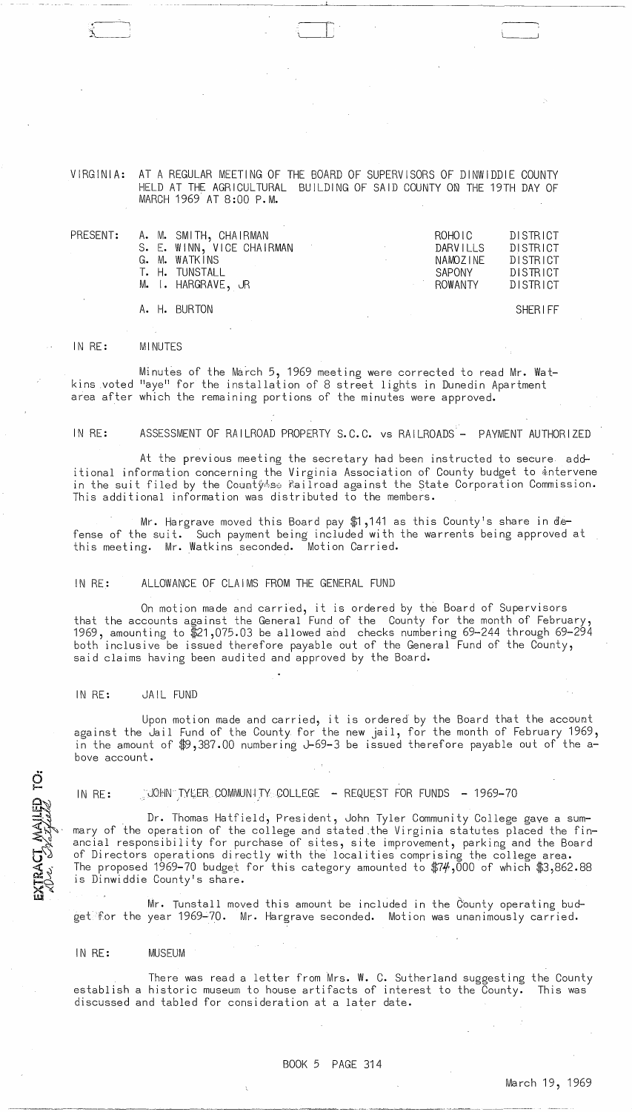<,-~-:"l  $\mathcal{L}$ . مسائله

VIRGINIA: AT A REGULAR MEETING OF THE BOARD OF SUPERVISORS OF DINWIDDIE COUNTY HELD AT THE AGRICULTURAL BUILDING OF SAID COUNTY ON THE 19TH DAY OF MARCH 1969 AT 8:00 P.M.

·-II~· 1 I I

|  | PRESENT: A. M. SMITH, CHAIRMAN<br>S. E. WINN, VICE CHAIRMAN | the control of the control of the con- | ROHOIC<br>DARVILLS | DISTRICT<br>DISTRICT |
|--|-------------------------------------------------------------|----------------------------------------|--------------------|----------------------|
|  | G. M. WATKINS<br>T. H. TUNSTALL                             |                                        | NAMOZINE<br>SAPONY | DISTRICT<br>DISTRICT |
|  | M. I. HARGRAVE, JR                                          |                                        | ROWANTY            | DISTRICT             |
|  | A. H. BURTON                                                |                                        |                    | <b>SHERIFF</b>       |

#### IN RE: **MINUTES**

Minutes of the March 5, 1969 meeting were corrected to read Mr. Watkins voted "aye" for the installation of 8 street lights in Dunedin Apartment area after which the remaining portions of the minutes were approved.

# IN RE: ASSESSMENT OF RAILROAD PROPERTY S.C.C. vs RAILROADS - PAYMENT AUTHORIZED

At the previous meeting the secretary had been instructed to secure additional information concerning the Virginia Association of County budget to  $\pm$ ntervene in the suit filed by the County se Railroad against the State Corporation Commission. This additional information was distributed to the members.

Mr. Hargrave moved this Board pay  $$1,141$  as this County's share in defense of the suit. Such payment being included with the warrents being approved at this meeting. Mr. Watkins seconded. Motion Carried.

#### IN RE: ALLOWANCE OF CLAIMS FROM THE GENERAL FUND

On motion made and carried, it is ordered by the Board of Supervisors that the accounts against the General Fund of the County for the month of February, 1969, amounting to \$21,075.03 be allowed and checks numbering 69-244 through 69-294 both inclusive be issued therefore payable out of the General Fund of the County, said claims having been audited and approved by the Board.

### IN RE: JAIL FUND

Upon motion made and carried, it is ordered by the Board that the account against the Jail Fund of the County for the new jail, for the month of February 1969, in the amount of \$9,387.00 numbering J-69-3 be issued therefore payable out of the above account.

EXTRACT MAILED TO:

IN RE: JOHN TYLER COMMUNITY COLLEGE - REQUEST FOR FUNDS - 1969-70

. Dr. Thomas Hatfield, President, John Tyler Community College gave a summary of the operation of the college and stated .the Virginia statutes placed the financial responsibility for purchase of sites, site improvement, parking and the Board of Directors operations directly with the localities comprising the college area. The proposed 1969-70 budget for this category amounted to  $\frac{m}{4}$ ,000 of which  $\frac{m}{4}$ 3,862.88 is Dinwiddie County's share.

Mr. Tunstall moved this amount be included in the County operating budget for the year 1969-70. Mr. Hargrave seconded. Motion was unanimously carried.

#### IN RE: MUSEUM

There was read a letter from Mrs. W. C. Sutherland suggesting the County establish a historic museum to house artifacts of interest to the County. This was discussed and tabled for consideration at a later date.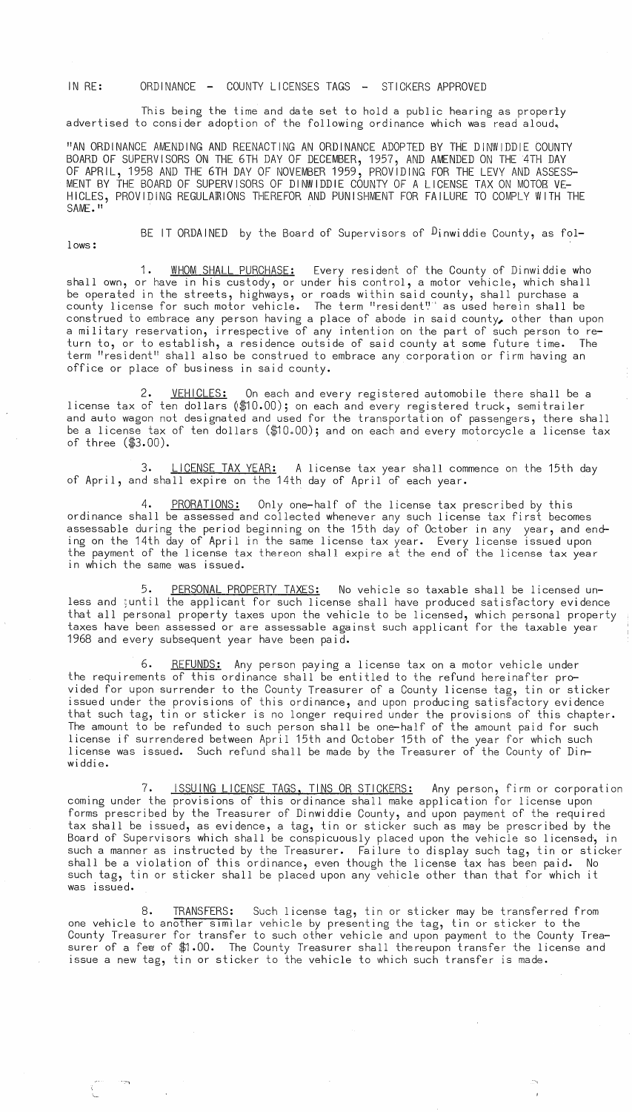IN RE: ORDINANCE - COUNTY LICENSES TAGS - STICKERS APPROVED

This being the time and date set to hold a public hearing as properly advertised to consider adoption of the following ordinance which was read aloud.

"AN ORDINANCE AMENDING AND REENACTING AN ORDINANCE ADOPTED BY THE DINWIDDIE COUNTY BOARD OF SUPERVISORS ON THE 6TH DAY OF DECEMBER, 1957, AND AMENDED ON THE 4TH DAY OF APRIL, 1958 AND THE 6TH DAY OF NOVEMBER 1959, PROVIDING FOR THE LEVY AND ASSESS-MENT BY THE BOARD OF SUPERVISORS OF DINWIDDIE COUNTY OF A LICENSE TAX ON MOTOS VE-HICLES, PROVIDING REGULAffilONS THEREFOR AND PUNISHMENT FOR FAILURE TO COMPLY WITH THE SAME."

lows:

.~

BE IT ORDAINED by the Board of Supervisors of  $D$ inwiddie County, as fol-

1. WHOM SHALL PURCHASE: Every resident of the County of Dinwiddie who shall own, or have in his custody, or under his control, a motor vehicle, which shall be operated in the streets, highways, or roads within said county, shall purchase a county license for such motor vehicle. The term "resident':" as used herein shall be construed to embrace any person having a place of abode in said county, other than upon a military reservation, irrespective of any intention on the part of such person to return to, or to establish, a residence outside of said county at some future time. The term "resident" shall also be construed to embrace any corporation or firm having an office or place of business in said county.

2. <u>VEHICLES:</u> On each and every registered automobile there shall be a license tax of ten dollars (\$10.00); on each and every registered truck, semitrailer and auto wagon not designated and used for the transportation of passengers, there shall be a license tax of ten dollars (\$10.00); and on each and every motorcycle a license tax of three (\$3.00).

3. LICENSE TAX YEAR: A license tax year shall commence on the 15th day of April, and shall expire on the 14th day of April of each year.

4. PRORATIONS: Only one-half of the license tax prescribed by this ordinance shall be assessed and collected whenever any such license tax first becomes assessable during the period beginning on the 15th day of October in any year, and ending on the 14th day of April in the same license tax year. Every license issued upon the payment of the license tax thereon shall expire at the end of the license tax year in which the same was issued.

5. PERSONAL PROPERTY TAXES: No vehicle so taxable shall be licensed unless and ;until the applicant for such license shall have produced satisfactory evidence that all personal property taxes upon the vehicle to be licensed, which personal property taxes have been assessed or are assessable against such applicant for the taxable year 1968 and every subsequent year have been paid.

6. REFUNDS: Any person paying a license tax on a motor vehicle under the requirements of this ordinance shall be entitled to the refund hereinafter provided for upon surrender to the County Treasurer of a County license tag, tin or sticker issued under the provisions of this ordinance, and upon producing satisfactory evidence that such tag, tin or sticker is no longer required under the provisions of this chapter. The amount to be refunded to such person shall be one-half of the amount paid for such license if surrendered between April 15th and October 15th of the year for which such license was issued. Such refund shall be made by the Treasurer of the County of Dinwiddie.

ISSUING LICENSE TAGS, TINS OR STICKERS: Any person, firm or corporation coming under the provisions of this ordinance shall make application for license upon forms prescribed by the Treasurer of Dinwiddie County, and upon payment of the required tax shall be issued, as evidence, a tag, tin or sticker such as may be prescribed by the Board of Supervisors which shall be conspicuously placed upon the vehicle so licensed, in such a manner as instructed by the Treasurer. Failure to display such tag, tin or sticker shall be a violation of this ordinance, even though the license tax has been paid. No such tag, tin or sticker shall be placed upon any vehicle other than that for which it was issued.

8. TRANSFERS: Such license tag, tin or sticker may be transferred from one vehicle to another SImilar vehicle by presenting the tag, tin or sticker to the County Treasurer for transfer to such other vehicle and upon payment to the County Treasurer of a fee of \$1.00. The County Treasurer shall thereupon transfer the license and issue a new tag, tin or sticker to the vehicle to which such transfer is made.

--\_I --,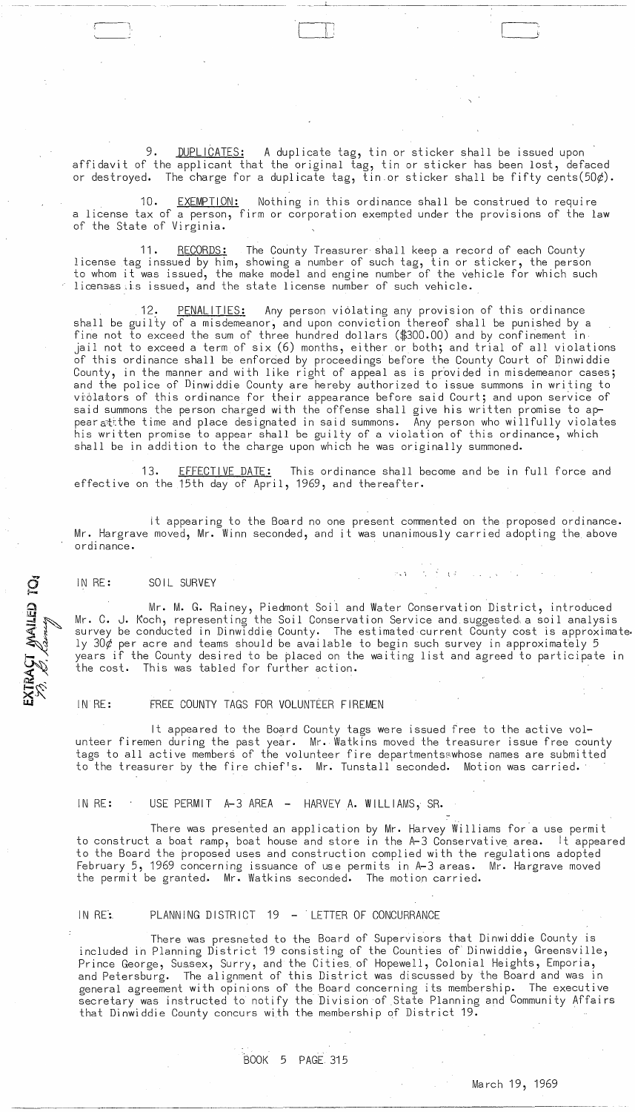DUPLICATES: A duplicate tag, tin or sticker shall be issued upon affidavit of the applicant that the original tag, tin or sticker has been lost, defaced or destroyed. The charge for a duplicate tag, tin or sticker shall be fifty cents(50 $\phi$ ).

'---- [-~

EXEMPTION: Nothing in this ordinance shall be construed to require a license tax of a person, firm or corporation exempted under the provisions of the law of the State of Virginia.

11. RECORDS: The County Treasurer shall keep a record of each County license tag inssued by him, showing a number of such tag, tin or sticker, the person to whom it was issued, the make model and engine number of the vehicle for which such licensss is issued, and the state license number of such vehicle.

12. PENALITIES: Any person violating any provision of this ordinance shall be guilty of a misdemeanor, and upon conviction thereof shall be punished by a fine not to exceed the sum of three hundred dollars (\$300.00) and by confinement in jail not to exceed a term of six (6) months, either or both; and trial of all violations of this ordinance shall be enforced by proceedings before the County Court of Dinwiddie County, in the manner and with like right of appeal as is provided in misdemeanor cases; and the police of Dinwiddie County are hereby authorized to issue summons in writing to viòlators of this ordinance for their appearance before said Court; and upon service of said summons the person charged with the offense shall give his written promise to appear  $a$ tithe time and place designated in said summons. Any person who willfully violates his written promise to appear shall be guilty of a violation of this ordinance, which shall be in addition to the charge upon which he was originally summoned.

13. EFFECTIVE DATE: This ordinance shall become and be in full force and effective on the 15th day of April, 1969, and thereafter.

it appearing to the Board no one present commented on the proposed ordinance. Mr. Hargrave moved, Mr. Winn seconded, and it was unanimously carried adopting the above ordinance.

## IN RE: SOIL SURVEY

EXTRAÇI MAILED TO:<br>79. B. Carrier

-:----1 , I ,

Mr. M. G. Rainey, Piedmont Soil and Water Conservation District, introduced Mr. C. J. Koch, representing the Soil Conservation Service and suggested, a soil analysis survey be conducted in Dinwiddie County. The estimated current County cost is approximate ly  $30¢$  per acre and teams should be available to begin such survey in approximately 5 years if the County desired to be placed on the waiting list and agreed to participate in the cost. This was tabled for further action.

l'

IN RE: FREE COUNTY TAGS FOR VOLUNTEER FIREMEN

It appeared to the Board County tags were issued free to the active volunteer firemen during the past year. Mr. Watkins moved the treasurer issue free county tags to all active members of the volunteer fire departmentsswhose names are submitted to the treasurer by the fire chief's. Mr. Tunstall seconded. Motion was carried.

IN RE: USE PERMIT A-3 AREA - HARVEY A. WILLIAMS, SR.

There was presented an application by Mr. Harvey Williams for'a use permit to construct a boat ramp, boat house and store in the A-3 Conservative area. It appeared to the Board the proposed uses and construction complied with the regulations adopted February 5, 1969 concerning issuance of use permits in A-3 areas. Mr. Hargrave moved the permit be granted. Mr. Watkins seconded. The motion carried.

## IN RE: PLANNING DISTRICT 19 - LETTER OF CONCURRANCE

There was presneted to the Board of Supervisors that Dinwiddie County is included in Planning District 19 consisting of the Counties of Dinwiddie, Greensville, Prince George, Sussex, Surry, and the Cities, of Hopewell, Colonial Heights, Emporia, and Petersburg. The alignment of this District was discussed by the Board and was in general agreement with opinions of the Board concerning its membership. The executive secretary was instructed to notify the Division of State Planning and Community Affairs that Dinwiddie County concurs with the membership of District 19.

BOOK 5 PAGE 315